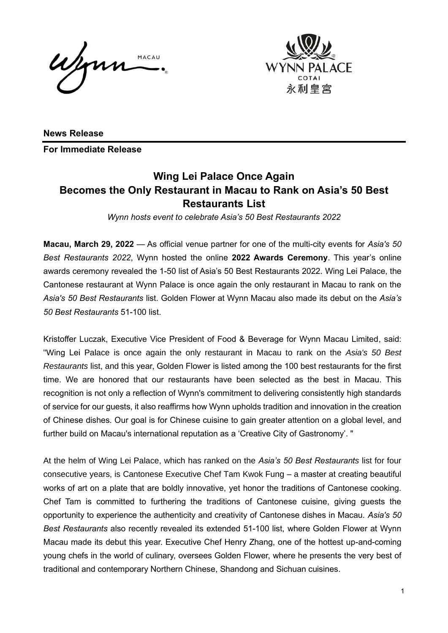Wenn MACAU



**News Release**

**For Immediate Release** 

## **Wing Lei Palace Once Again Becomes the Only Restaurant in Macau to Rank on Asia's 50 Best Restaurants List**

*Wynn hosts event to celebrate Asia's 50 Best Restaurants 2022* 

**Macau, March 29, 2022** — As official venue partner for one of the multi-city events for *Asia's 50 Best Restaurants 2022*, Wynn hosted the online **2022 Awards Ceremony**. This year's online awards ceremony revealed the 1-50 list of Asia's 50 Best Restaurants 2022. Wing Lei Palace, the Cantonese restaurant at Wynn Palace is once again the only restaurant in Macau to rank on the *Asia's 50 Best Restaurants* list. Golden Flower at Wynn Macau also made its debut on the *Asia's 50 Best Restaurants* 51-100 list.

Kristoffer Luczak, Executive Vice President of Food & Beverage for Wynn Macau Limited, said: "Wing Lei Palace is once again the only restaurant in Macau to rank on the *Asia's 50 Best Restaurants* list, and this year, Golden Flower is listed among the 100 best restaurants for the first time. We are honored that our restaurants have been selected as the best in Macau. This recognition is not only a reflection of Wynn's commitment to delivering consistently high standards of service for our guests, it also reaffirms how Wynn upholds tradition and innovation in the creation of Chinese dishes. Our goal is for Chinese cuisine to gain greater attention on a global level, and further build on Macau's international reputation as a 'Creative City of Gastronomy'. "

At the helm of Wing Lei Palace, which has ranked on the *Asia's 50 Best Restaurants* list for four consecutive years, is Cantonese Executive Chef Tam Kwok Fung – a master at creating beautiful works of art on a plate that are boldly innovative, yet honor the traditions of Cantonese cooking. Chef Tam is committed to furthering the traditions of Cantonese cuisine, giving guests the opportunity to experience the authenticity and creativity of Cantonese dishes in Macau. *Asia's 50 Best Restaurants* also recently revealed its extended 51-100 list, where Golden Flower at Wynn Macau made its debut this year. Executive Chef Henry Zhang, one of the hottest up-and-coming young chefs in the world of culinary, oversees Golden Flower, where he presents the very best of traditional and contemporary Northern Chinese, Shandong and Sichuan cuisines.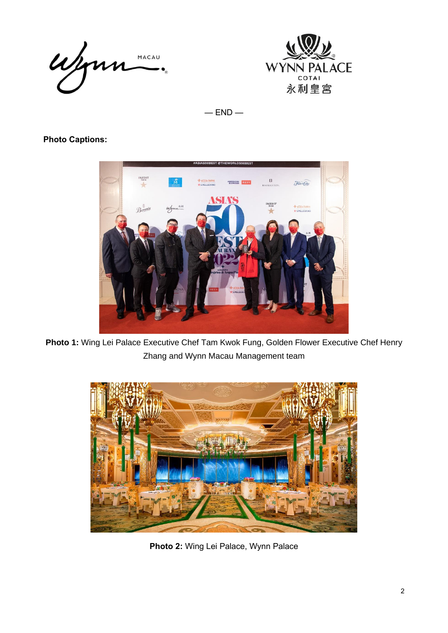



 $-$  END  $-$ 

## **Photo Captions:**



**Photo 1:** Wing Lei Palace Executive Chef Tam Kwok Fung, Golden Flower Executive Chef Henry Zhang and Wynn Macau Management team



**Photo 2:** Wing Lei Palace, Wynn Palace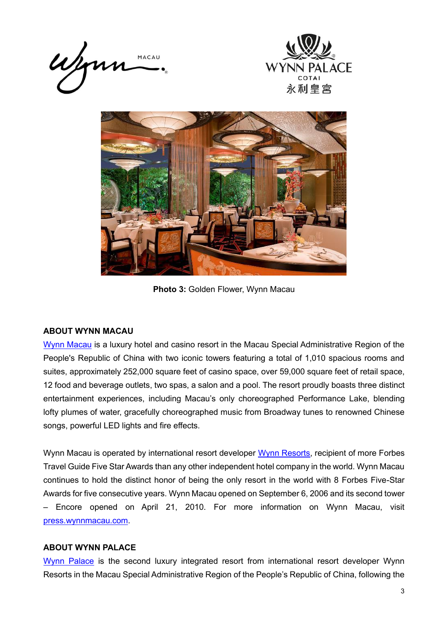





**Photo 3:** Golden Flower, Wynn Macau

## **ABOUT WYNN MACAU**

[Wynn Macau](https://www.wynnmacau.com/en) is a luxury hotel and casino resort in the Macau Special Administrative Region of the People's Republic of China with two iconic towers featuring a total of 1,010 spacious rooms and suites, approximately 252,000 square feet of casino space, over 59,000 square feet of retail space, 12 food and beverage outlets, two spas, a salon and a pool. The resort proudly boasts three distinct entertainment experiences, including Macau's only choreographed Performance Lake, blending lofty plumes of water, gracefully choreographed music from Broadway tunes to renowned Chinese songs, powerful LED lights and fire effects.

Wynn Macau is operated by international resort developer [Wynn Resorts,](http://www.wynnresorts.com/) recipient of more Forbes Travel Guide Five Star Awards than any other independent hotel company in the world. Wynn Macau continues to hold the distinct honor of being the only resort in the world with 8 Forbes Five-Star Awards for five consecutive years. Wynn Macau opened on September 6, 2006 and its second tower – Encore opened on April 21, 2010. For more information on Wynn Macau, visit [press.wynnmacau.com.](https://press.wynnmacau.com/en)

## **ABOUT WYNN PALACE**

[Wynn Palace](https://www.wynnpalace.com/en) is the second luxury integrated resort from international resort developer Wynn Resorts in the Macau Special Administrative Region of the People's Republic of China, following the